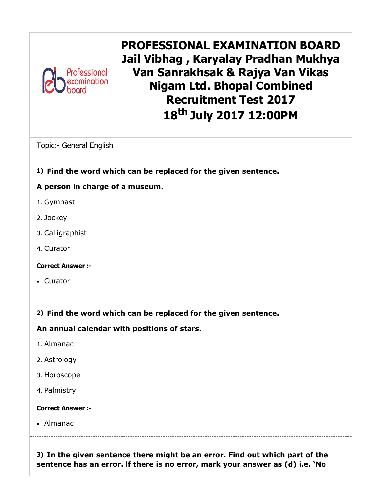

PROFESSIONAL EXAMINATION BOARD Jail Vibhag , Karyalay Pradhan Mukhya Van Sanrakhsak & Rajya Van Vikas Nigam Ltd. Bhopal Combined Recruitment Test 2017 18<sup>th</sup> July 2017 12:00PM

Topic:- General English

### 1) Find the word which can be replaced for the given sentence.

### A person in charge of a museum.

- 1. Gymnast
- 2. Jockey
- 3. Calligraphist
- 4. Curator

#### Correct Answer :-

Curator

### 2) Find the word which can be replaced for the given sentence.

An annual calendar with positions of stars.

- 1. Almanac
- 2. Astrology
- 3. Horoscope
- 4. Palmistry

#### Correct Answer :-

Almanac

3) In the given sentence there might be an error. Find out which part of the sentence has an error. lf there is no error, mark your answer as (d) i.e. 'No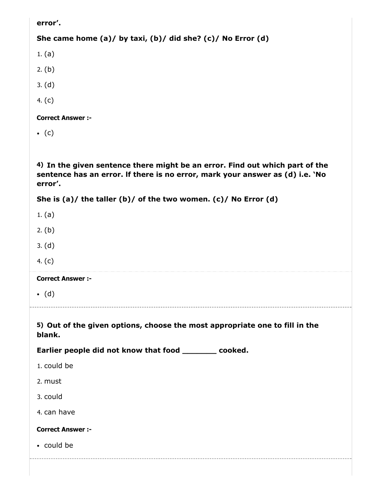error'.

```
She came home (a)/ by taxi, (b)/ did she? (c)/ No Error (d)
```
1. (a)

2. (b)

- 3. (d)
- 4. (c)

Correct Answer :-

 $\bullet$  (c)

4) In the given sentence there might be an error. Find out which part of the sentence has an error. lf there is no error, mark your answer as (d) i.e. 'No error'.

```
She is (a)/ the taller (b)/ of the two women. (c)/ No Error (d)
```
- 1. (a)
- 2. (b)
- 3. (d)
- 4. (c)

Correct Answer :-

 $\bullet$  (d)

5) Out of the given options, choose the most appropriate one to fill in the blank.

Earlier people did not know that food \_\_\_\_\_\_\_ cooked.

- 1. could be
- 2. must
- 3. could
- 4. can have

#### Correct Answer :-

could be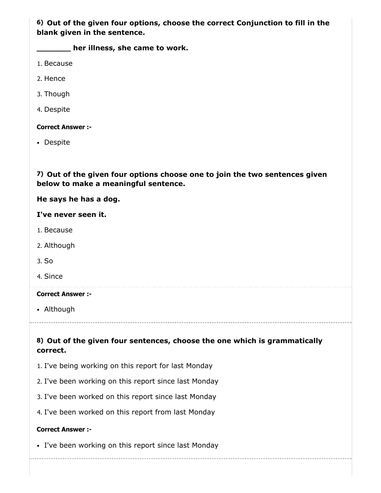6) Out of the given four options, choose the correct Conjunction to fill in the blank given in the sentence.

**where illness, she came to work.** 

- 1. Because
- 2. Hence
- 3. Though
- 4. Despite

#### Correct Answer :-

• Despite

7) Out of the given four options choose one to join the two sentences given below to make a meaningful sentence.

He says he has a dog.

I've never seen it.

- 1. Because
- 2. Although
- 3. So
- 4. Since

#### Correct Answer :-

Although

### 8) Out of the given four sentences, choose the one which is grammatically correct.

- 1. I've being working on this report for last Monday
- 2. I've been working on this report since last Monday
- 3. I've been worked on this report since last Monday
- 4. I've been worked on this report from last Monday

#### Correct Answer :-

• I've been working on this report since last Monday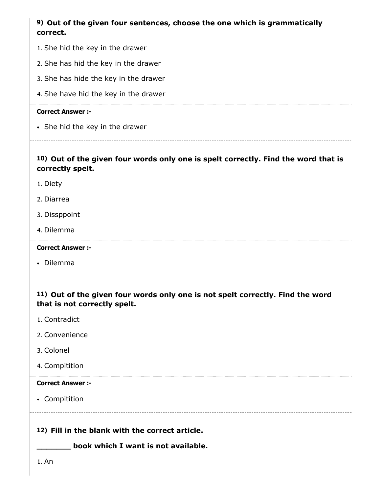### 9) Out of the given four sentences, choose the one which is grammatically correct.

- 1. She hid the key in the drawer
- 2. She has hid the key in the drawer
- 3. She has hide the key in the drawer
- 4. She have hid the key in the drawer

#### Correct Answer :-

• She hid the key in the drawer

### 10) Out of the given four words only one is spelt correctly. Find the word that is correctly spelt.

- 1. Diety
- 2. Diarrea
- 3. Dissppoint
- 4. Dilemma

#### Correct Answer :-

• Dilemma

### 11) Out of the given four words only one is not spelt correctly. Find the word that is not correctly spelt.

- 1. Contradict
- 2. Convenience
- 3. Colonel
- 4. Compitition

#### Correct Answer :-

• Compitition

### 12) Fill in the blank with the correct article.

\_\_\_\_\_\_\_ book which I want is not available.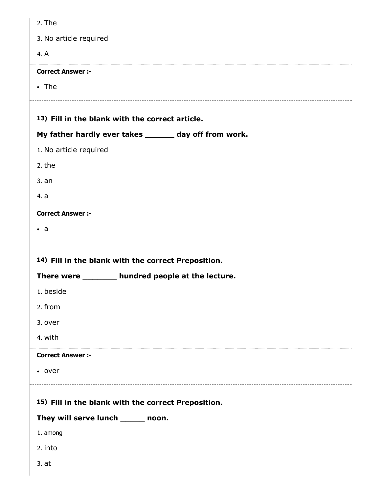| 2. The                                                |
|-------------------------------------------------------|
| 3. No article required                                |
| 4. A                                                  |
| <b>Correct Answer :-</b>                              |
| $\cdot$ The                                           |
|                                                       |
| 13) Fill in the blank with the correct article.       |
| My father hardly ever takes ______ day off from work. |
| 1. No article required                                |
| 2. the                                                |
| 3. an                                                 |
| 4. a                                                  |
| <b>Correct Answer :-</b>                              |
| $\cdot$ a                                             |
|                                                       |
|                                                       |
| 14) Fill in the blank with the correct Preposition.   |
| There were _______ hundred people at the lecture.     |
| 1. beside                                             |
| 2. from                                               |
| 3. over                                               |
| 4. with                                               |
| <b>Correct Answer :-</b>                              |
| • over                                                |
|                                                       |
| 15) Fill in the blank with the correct Preposition.   |
| They will serve lunch ______ noon.                    |
| 1. among                                              |
| 2. into                                               |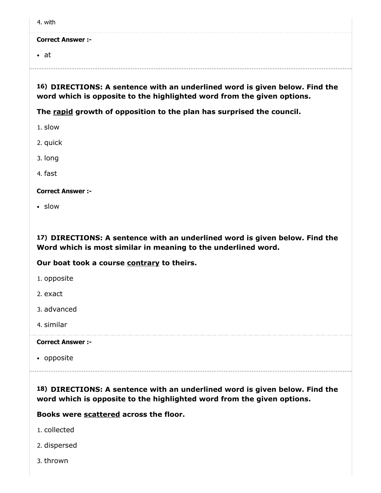|--|

• at

#### 16) DIRECTIONS: A sentence with an underlined word is given below. Find the word which is opposite to the highlighted word from the given options.

The rapid growth of opposition to the plan has surprised the council.

1. slow

2. quick

3. long

4. fast

Correct Answer :-

slow

17) DIRECTIONS: A sentence with an underlined word is given below. Find the Word which is most similar in meaning to the underlined word.

#### Our boat took a course contrary to theirs.

1. opposite

2. exact

3. advanced

4. similar

Correct Answer :-

• opposite

18) DIRECTIONS: A sentence with an underlined word is given below. Find the word which is opposite to the highlighted word from the given options.

Books were scattered across the floor.

- 1. collected
- 2. dispersed
- 3. thrown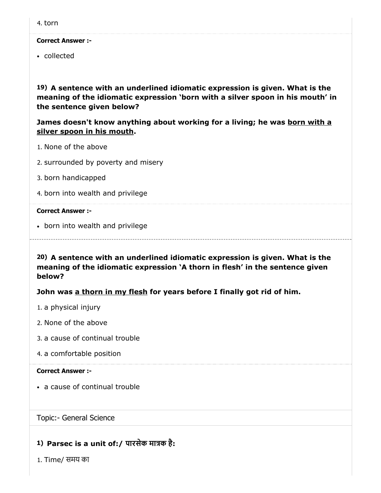collected

19) A sentence with an underlined idiomatic expression is given. What is the meaning of the idiomatic expression 'born with a silver spoon in his mouth' in the sentence given below?

James doesn't know anything about working for a living; he was born with a silver spoon in his mouth.

- 1. None of the above
- 2. surrounded by poverty and misery
- 3. born handicapped
- 4. born into wealth and privilege

#### Correct Answer :-

• born into wealth and privilege

20) A sentence with an underlined idiomatic expression is given. What is the meaning of the idiomatic expression 'A thorn in flesh' in the sentence given below?

#### John was a thorn in my flesh for years before I finally got rid of him.

- 1. a physical injury
- 2. None of the above
- 3. a cause of continual trouble
- 4. a comfortable position

#### Correct Answer :-

a cause of continual trouble

#### Topic:- General Science

### 1) Parsec is a unit of:/ पारसेक माक है:

1. Time/ समय का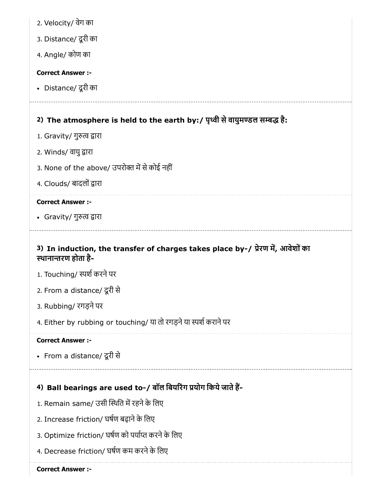- 2. Velocity/ वेग का
- 3. Distance/ दूरी का
- 4. Angle/ कोण का

Distance/ दूरी का

# 2) The atmosphere is held to the earth by:/ पृथ्वी से वायुमण्डल सम्बद्ध है:

- 1. Gravity/ गुरुत्व द्वारा
- 2. Winds/ वायु द्वारा
- 3. None of the above/ उपरोक्त में से कोई नहीं
- 4. Clouds/ बादलों द्वारा

#### Correct Answer :-

• Gravity/ गुरुत्व द्वारा

### 3) In induction, the transfer of charges takes place by-/ प्रेरण में, आवेशों का थानारण होता है-

- 1. Touching/ स्पर्श करने पर
- 2. From a distance/ दूरी से
- 3. Rubbing/ रगड़नेपर
- 4. Either by rubbing or touching/ या तो रगड़ने या स्पर्श कराने पर

#### Correct Answer :-

From a distance/ दूरी से

### 4) Ball bearings are used to-/ बॉल बियरिंग प्रयोग किये जाते हैं-

- 1. Remain same/ उसी स्थिति में रहने के लिए
- 2. Increase friction/ घर्षण बढ़ाने के लिए
- 3. Optimize friction/ घर्षण को पर्याप्त करने के लिए
- 4. Decrease friction/ घषण कम करनेके िलए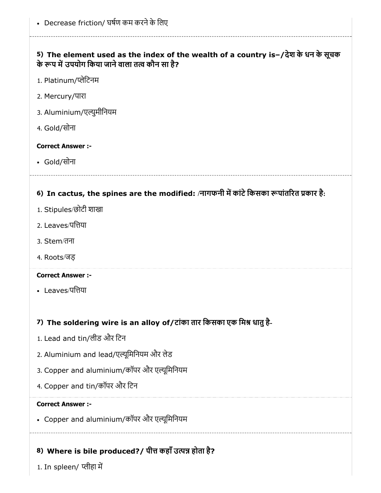### 5) The element used as the index of the wealth of a country is–/देश के धन के सूचक के रूप में उपयोग किया जाने वाला तत्व कौन सा है?

- 1. Platinum/ेिटनम
- 2. Mercury/पारा
- 3. Aluminium/एुमीिनयम
- 4. Gold/सोना

### Correct Answer :-

Gold/सोना

# 6) In cactus, the spines are the modified: /नागफनी में कांटे किसका रूपांतरित प्रकार है:

- 1. Stipules/छोटी शाखा
- 2. Leaves/पिया
- 3. Stem/तना
- 4. Roots/जड़

### Correct Answer :-

• Leaves/पत्तिया

### 7) The soldering wire is an alloy of/टांका तार किसका एक मिश्र धातु है-

- 1. Lead and tin/लीड और िटन
- 2. Aluminium and lead/एूिमिनयम और लेड
- 3. Copper and aluminium/कॉपर और एूिमिनयम
- 4. Copper and tin/कॉपर और िटन

### Correct Answer :-

Copper and aluminium/कॉपर और एूिमिनयम

# 8) Where is bile produced?/ पीत्त कहाँ उत्पन्न होता है?

1. In spleen/ प्लीहा में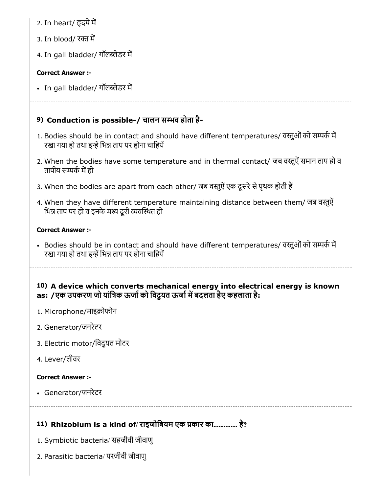- 2. In heart/ दयेम
- 3. In blood/ रक्त में
- 4. In gall bladder/ गॉलब्लेडर में

• In gall bladder/ गॉलब्लेडर में

### 9) Conduction is possible-/ चालन सव होता है-

- 1. Bodies should be in contact and should have different temperatures/ वस्तुओं को सम्पर्क में रखा गया हो तथा इन्हें भिन्न ताप पर होना चाहियें
- 2. When the bodies have some temperature and in thermal contact/ जब वस्तुऐं समान ताप हो व तापीय सम्पर्क में हो
- 3. When the bodies are apart from each other/ जब वस्तुऐं एक दूसरे से पृथक होती हैं
- 4. When they have different temperature maintaining distance between them/ जब वस्तुऐं भिन्न ताप पर हो व इनके मध्य दूरी व्यवस्थित हो

#### Correct Answer :-

- Bodies should be in contact and should have different temperatures/ वस्तुओं को सम्पर्क में रखा गया हो तथा इन्हें भिन्न ताप पर होना चाहियें
- 10) A device which converts mechanical energy into electrical energy is known as: /एक उपकरण जो यांत्रिक ऊर्जा को विदयत ऊर्जा में बदलता हैए कहलाता है:
- 1. Microphone/माइक्रोफोन
- 2. Generator/जनरेटर
- 3. Electric motor/िवद्ुयत मोटर
- 4. Lever/लीवर

#### Correct Answer :-

Generator/जनरेटर

### 11) Rhizobium is a kind of/ राइजोबियम एक प्रकार का.............. है?

- 1. Symbiotic bacteria/ सहजीवी जीवाणु
- 2. Parasitic bacteria/ परजीवी जीवाणु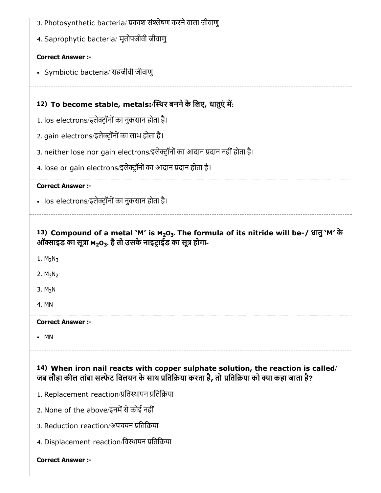| 3. Photosynthetic bacteria/ प्रकाश संश्लेषण करने वाला जीवाणु                                                                                                                                                            |
|-------------------------------------------------------------------------------------------------------------------------------------------------------------------------------------------------------------------------|
| 4. Saprophytic bacteria/ मृतोपजीवी जीवाणु                                                                                                                                                                               |
| <b>Correct Answer :-</b>                                                                                                                                                                                                |
| • Symbiotic bacteria/ सहजीवी जीवाणु                                                                                                                                                                                     |
|                                                                                                                                                                                                                         |
| 12) To become stable, metals:/स्थिर बनने के लिए, धातुएं में:                                                                                                                                                            |
| 1. los electrons/इलेक्ट्रॉनों का नुकसान होता है।                                                                                                                                                                        |
| 2. gain electrons/इलेक्ट्रॉनों का लाभ होता है।                                                                                                                                                                          |
| 3. neither lose nor gain electrons/इलेक्ट्रॉनों का आदान प्रदान नहीं होता है।                                                                                                                                            |
| 4. lose or gain electrons/इलेक्ट्रॉनों का आदान प्रदान होता है।                                                                                                                                                          |
| <b>Correct Answer :-</b>                                                                                                                                                                                                |
| • los electrons/इलेक्ट्रॉनों का नुकसान होता है।                                                                                                                                                                         |
| 13) Compound of a metal `M' is M <sub>2</sub> O <sub>3</sub> . The formula of its nitride will be-/ धातु `M' के<br>ऑक्साइड का सूत्रा M <sub>2</sub> O <sub>3</sub> . है तो उसके नाइट्राईड का सूत्र होगा-<br>1. $M_2N_3$ |
| 2. $M_3N_2$<br>3. M <sub>3</sub> N<br>4. MN                                                                                                                                                                             |
| <b>Correct Answer:-</b>                                                                                                                                                                                                 |
| MN                                                                                                                                                                                                                      |
| 14) When iron nail reacts with copper sulphate solution, the reaction is called/<br>जब लौहा कील तांबा सल्फेट विलयन के साथ प्रतिक्रिया करता है, तो प्रतिक्रिया को क्या कहा जाता है?                                      |
| 1. Replacement reaction/प्रतिस्थापन प्रतिक्रिया                                                                                                                                                                         |
| 2. None of the above/इनमें से कोई नहीं                                                                                                                                                                                  |
| 3. Reduction reaction/अपचयन प्रतिक्रिया                                                                                                                                                                                 |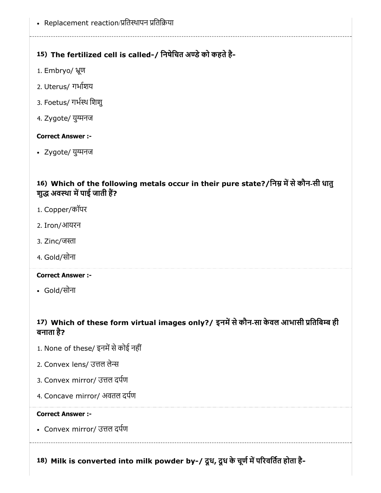• Replacement reaction/प्रतिस्थापन प्रतिक्रिया

### 15) The fertilized cell is called-/ निषेचित अण्डे को कहते है-

- 1. Embryo/ ूण
- 2. Uterus/ गभाशय
- 3. Foetus/ गभथ िशशु
- 4. Zygote/ युग्मनज

#### Correct Answer :-

• Zygote/ युग्मनज

### 16) Which of the following metals occur in their pure state?/निम्न में से कौन-सी धातु शुद्ध अवस्था में पाई जाती हैं?

- 1. Copper/कॉपर
- 2. Iron/आयरन
- 3. Zinc/जस्ता
- 4. Gold/सोना

#### Correct Answer :-

Gold/सोना

### 17) Which of these form virtual images only?/ इनमें से कौन-सा केवल आभासी प्रतिबिम्ब ही बनाता है?

- 1. None of these/ इनमें से कोई नहीं
- 2. Convex lens/ उत्तल लेन्स
- 3. Convex mirror/ उत्तल दर्पण
- 4. Concave mirror/ अवतल दपण

#### Correct Answer :-

• Convex mirror/ उत्तल दर्पण

18) Milk is converted into milk powder by-/ दूध, दूध के चूर्ण में परिवर्तित होता है-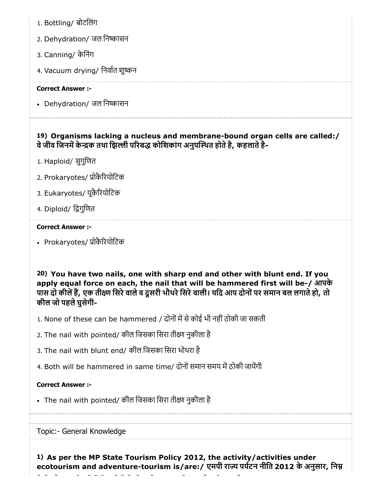- 1. Bottling/ बोटिलंग
- 2. Dehydration/ जल निष्कासन
- 3. Canning/ केिनंग
- 4. Vacuum drying/ निर्वात शुष्कन

• Dehydration/ जल निष्कासन

### 19) Organisms lacking a nucleus and membrane-bound organ cells are called:/ वे जीव जिनमें केन्द्रक तथा झिल्ली परिबद्ध कोशिकांग अनुपस्थित होते है, कहलाते है-

- 1. Haploid/ सुगुिणत
- 2. Prokaryotes/ ोकैरयोिटक
- 3. Eukaryotes/ यूकैरयोिटक
- 4. Diploid/ िगुिणत

#### Correct Answer :-

• Prokaryotes/ प्रोकैरियोटिक

20) You have two nails, one with sharp end and other with blunt end. If you apply equal force on each, the nail that will be hammered first will be-/ आपके पास दो कीलें हैं, एक तीक्ष्ण सिरे वाले व दूसरी भौथरे सिरे वाली। यदि आप दोनों पर समान बल लगाते हो, तो कील जो पहलेघुसेगी-

- 1. None of these can be hammered / दोनों में से कोई भी नहीं ठोकी जा सकती
- 2. The nail with pointed/ कील िजसका िसरा तीण नुकीला है
- 3. The nail with blunt end/ कील िजसका िसरा भोथरा है
- 4. Both will be hammered in same time/ दोनों समान समय में ठोकी जायेंगी

### Correct Answer :-

• The nail with pointed/ कील जिसका सिरा तीक्ष्ण नुकीला है

Topic:- General Knowledge

1) As per the MP State Tourism Policy 2012, the activity/activities under ecotourism and adventure-tourism is/are:/ एमपी राज्य पर्यटन नीति 2012 के अनुसार, निम्न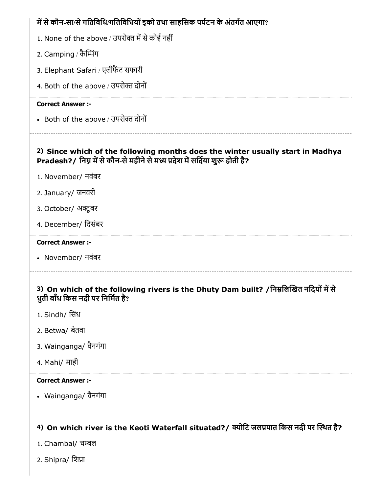# 2) Since which of the following months does the winter usually start in Madhya में से कौन-सा/से गतिविधि/गतिविधियों इको तथा साहसिक पर्यटन के अंतर्गत आएगा? 1. None of the above / उपरोक्त में से कोई नहीं 2. Camping / कैम्पिंग 3. Elephant Safari / एलीफट सफारी 4. Both of the above / उपरोक्त दोनों Correct Answer :- • Both of the above / उपरोक्त दोनों Pradesh?/ निम्न में से कौन-से महीने से मध्य प्रदेश में सर्दिया शुरू होती है? 1. November/ नवंबर 2. January/ जनवरी 3. October/ अक्टूबर 4. December/ िदसंबर Correct Answer :- November/ नवंबर

### 3) On which of the following rivers is the Dhuty Dam built? /निम्नलिखित नदियों में से धुती बाँध िकस नदी पर िनिमत है?

- 1. Sindh/ िसंध
- 2. Betwa/ बेतवा
- 3. Wainganga/ वैनगंगा
- 4. Mahi/ माही

#### Correct Answer :-

Wainganga/ वैनगंगा

### 4) On which river is the Keoti Waterfall situated?/ क्योटि जलप्रपात किस नदी पर स्थित है?

- 1. Chambal/ चम्बल
- 2. Shipra/ िशा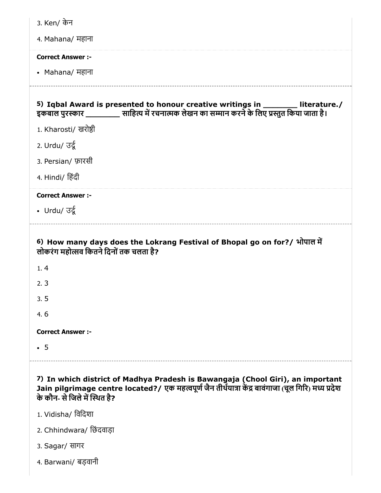| 3. Ken/ केन                                                                                                                                                                                                                                    |
|------------------------------------------------------------------------------------------------------------------------------------------------------------------------------------------------------------------------------------------------|
| 4. Mahana/ महाना                                                                                                                                                                                                                               |
| <b>Correct Answer:-</b>                                                                                                                                                                                                                        |
| • Mahana/ महाना                                                                                                                                                                                                                                |
| 5) Iqbal Award is presented to honour creative writings in ________ literature./<br>इकबाल पुरस्कार ___________ साहित्य में रचनात्मक लेखन का सम्मान करने के लिए प्रस्तुत किया जाता है।                                                          |
| 1. Kharosti/ खरोष्ठी                                                                                                                                                                                                                           |
| 2. Urdu/ उर्दू                                                                                                                                                                                                                                 |
| 3. Persian/ फ़ारसी                                                                                                                                                                                                                             |
| 4. Hindi/ हिंदी                                                                                                                                                                                                                                |
| <b>Correct Answer:-</b>                                                                                                                                                                                                                        |
| • Urdu/ $\overline{3}x$                                                                                                                                                                                                                        |
| 6) How many days does the Lokrang Festival of Bhopal go on for?/ भोपाल में<br>लोकरंग महोत्सव कितने दिनों तक चलता है?                                                                                                                           |
| 1.4                                                                                                                                                                                                                                            |
| 2.3                                                                                                                                                                                                                                            |
|                                                                                                                                                                                                                                                |
| 3.5                                                                                                                                                                                                                                            |
| 4.6                                                                                                                                                                                                                                            |
| <b>Correct Answer:-</b>                                                                                                                                                                                                                        |
| $\cdot$ 5                                                                                                                                                                                                                                      |
| 7) In which district of Madhya Pradesh is Bawangaja (Chool Giri), an important<br>Jain pilgrimage centre located?/ एक महत्वपूर्ण जैन तीर्थयात्रा केंद्र बावंगाजा (चूल गिरि) मध्य प्रदेश<br>के कौन- से जिले में स्थित है?<br>1. Vidisha/ विदिशा |

- 2. Chhindwara/ िछंदवाड़ा
- 3. Sagar/ सागर
- 4. Barwani/ बड़वानी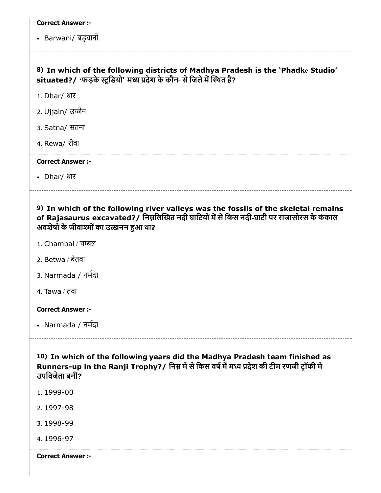• Barwani/ बड़वानी

### 8) In which of the following districts of Madhya Pradesh is the 'Phadke Studio' situated?/ 'फड़के स्टूडियो' मध्य प्रदेश के कौन- से जिले में स्थित है?

- 1. Dhar/ धार
- 2. Ujjain/ उज्जैन
- 3. Satna/ सतना
- 4. Rewa/ रीवा

#### Correct Answer :-

Dhar/ धार

### 9) In which of the following river valleys was the fossils of the skeletal remains of Rajasaurus excavated?/ निम्नलिखित नदी घाटियों में से किस नदी-घाटी पर राजासोरस के कंकाल अवशेषों के जीवाश्मों का उत्खनन हुआ था?

- 1. Chambal / चल
- 2. Betwa / बेतवा
- 3. Narmada / नमदा
- 4. Tawa / तवा

#### Correct Answer :-

Narmada / नमदा

10) In which of the following years did the Madhya Pradesh team finished as Runners-up in the Ranji Trophy?/ निम्न में से किस वर्ष में मध्य प्रदेश की टीम रणजी ट्रॉफी में उपिवजेता बनी?

- 1. 1999-00
- 2. 1997-98
- 3. 1998-99
- 4. 1996-97

Correct Answer :-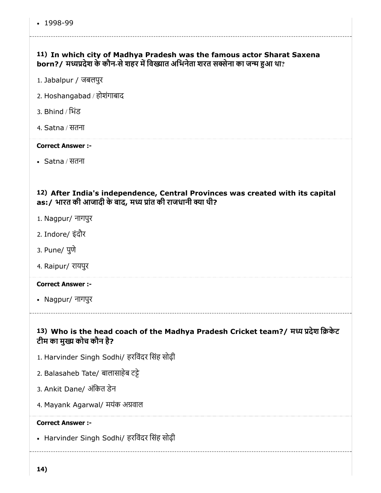### 11) In which city of Madhya Pradesh was the famous actor Sharat Saxena born?/ मध्यप्रदेश के कौन-से शहर में विख्यात अभिनेता शरत सक्सेना का जन्म हुआ था?

- 1. Jabalpur / जबलपुर
- 2. Hoshangabad / होशंगाबाद
- 3. Bhind / िभंड
- 4. Satna / सतना

#### Correct Answer :-

Satna / सतना

### 12) After India's independence, Central Provinces was created with its capital as:/ भारत की आजादी के बाद, मध्य प्रांत की राजधानी क्या थी?

- 1. Nagpur/ नागपुर
- 2. Indore/ इंदौर
- 3. Pune/ पुणे
- 4. Raipur/ रायपुर

#### Correct Answer :-

Nagpur/ नागपुर

### 13) Who is the head coach of the Madhya Pradesh Cricket team?/ मध्य प्रदेश क्रिकेट टीम का मुख्य कोच कौन है?

- 1. Harvinder Singh Sodhi/ हरिवंदर िसंह सोढ़ी
- 2. Balasaheb Tate/ बालासाहेब टे
- 3. Ankit Dane/ अंकित डेन
- 4. Mayank Agarwal/ मयंक अवाल

#### Correct Answer :-

• Harvinder Singh Sodhi/ हरविंदर सिंह सोढ़ी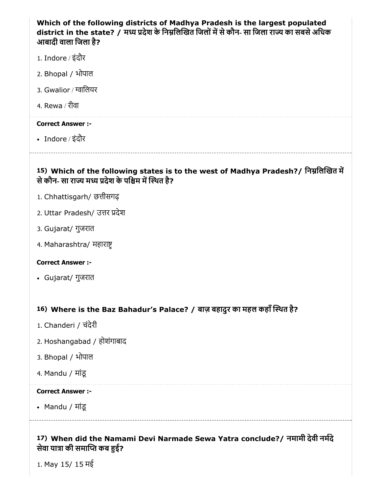### Which of the following districts of Madhya Pradesh is the largest populated district in the state? / मध्य प्रदेश के निम्नलिखित जिलों में से कौन- सा जिला राज्य का सबसे अधिक आबादी वाला िजला है?

- 1. Indore / इंदौर
- 2. Bhopal / भोपाल
- 3. Gwalior / ग्वालियर
- 4. Rewa / रीवा

#### Correct Answer :-

Indore / इंदौर

### 15) Which of the following states is to the west of Madhya Pradesh?/ निम्नलिखित में से कौन- सा राज्य मध्य प्रदेश के पश्चिम में स्थित है?

- 1. Chhattisgarh/ छत्तीसगढ़
- 2. Uttar Pradesh/ उत्तर प्रदेश
- 3. Gujarat/ गुजरात
- 4. Maharashtra/ महारा

#### Correct Answer :-

Gujarat/ गुजरात

### 16) Where is the Baz Bahadur's Palace? / बाज़ बहादुर का महल कहाँथत है?

- 1. Chanderi / चंदेरी
- 2. Hoshangabad / होशंगाबाद
- 3. Bhopal / भोपाल
- 4. Mandu / मांडू

#### Correct Answer :-

Mandu / मांडू

### 17) When did the Namami Devi Narmade Sewa Yatra conclude?/ नमामी देवी नमदे सेवा यात्रा की समाप्ति कब हुई?

1. May 15/ 15 मई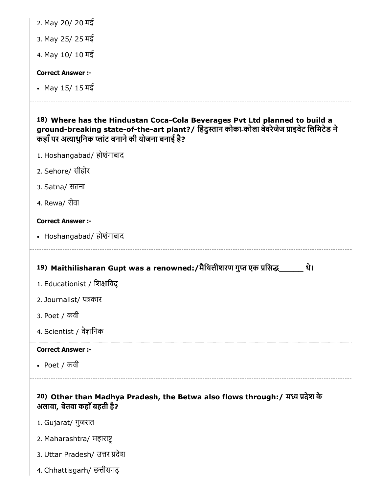| 2. May 20/ 20 मई                                                                                                                                                                                                              |
|-------------------------------------------------------------------------------------------------------------------------------------------------------------------------------------------------------------------------------|
| 3. May 25/ 25 मई                                                                                                                                                                                                              |
| 4. May 10/ 10 मई                                                                                                                                                                                                              |
| <b>Correct Answer:-</b>                                                                                                                                                                                                       |
| • May 15/15 मई                                                                                                                                                                                                                |
|                                                                                                                                                                                                                               |
|                                                                                                                                                                                                                               |
| 18) Where has the Hindustan Coca-Cola Beverages Pvt Ltd planned to build a<br>ground-breaking state-of-the-art plant?/ हिंदुस्तान कोका-कोला बेवरेजेज प्राइवेट लिमिटेड ने<br>कहाँ पर अत्याधुनिक प्लांट बनाने की योजना बनाई है? |
| 1. Hoshangabad/ होशंगाबाद                                                                                                                                                                                                     |
| 2. Sehore/ सीहोर                                                                                                                                                                                                              |
| 3. Satna/ सतना                                                                                                                                                                                                                |

• Hoshangabad/ होशंगाबाद

### 19) Maithilisharan Gupt was a renowned:/मैथिलीशरण गुप्त एक प्रसिद्ध\_\_\_\_\_\_\_ थे।

- 1. Educationist / शिक्षाविद्
- 2. Journalist/ पकार
- 3. Poet / कवी
- 4. Scientist / वैज्ञानिक

### Correct Answer :-

Poet / कवी

### 20) Other than Madhya Pradesh, the Betwa also flows through:/ म देश के अलावा, बेतवा कहाँबहती है?

- 1. Gujarat/ गुजरात
- 2. Maharashtra/ महारा
- 3. Uttar Pradesh/ उत्तर प्रदेश
- 4. Chhattisgarh/ छत्तीसगढ़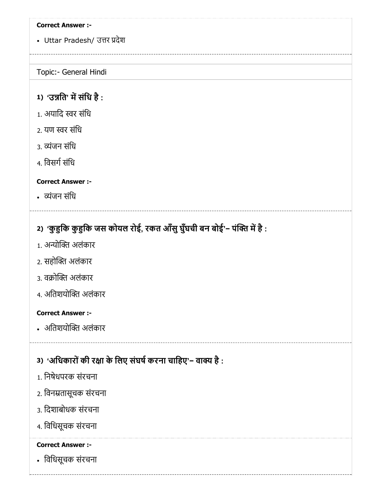• Uttar Pradesh/ उत्तर प्रदेश

#### Topic:- General Hindi

### 1) 'उन्नति' में संधि है :

- 1. अयादि स्वर संधि
- 2. यण स्वर संधि
- 3. व्यंजन संधि
- 4. विसर्ग संधि

### Correct Answer :-

• व्यंजन संधि

## 2) 'कुहुकि कुहुकि जस कोयल रोई, रकत आँसु घुँघची बन बोई'− पंक्ति में है :

- 1. अन्योक्ति अलंकार
- 2. सहोक्ति अलंकार
- 3. वक्रोक्ति अलंकार
- 4. अतिशयोक्ति अलंकार

#### Correct Answer :-

• अतिशयोक्ति अलंकार

### 3) 'अधिकारों की रक्षा के लिए संघर्ष करना चाहिए'− वाक्य है :

- 1. िनषेधपरक संरचना
- 2. िवनतासूचक संरचना
- 3. िदशाबोधक संरचना
- 4. िविधसूचक संरचना

### Correct Answer :-

िविधसूचक संरचना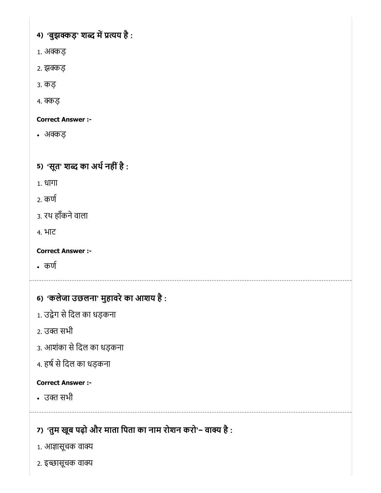4) 'बुझक्कड़' शब्द में प्रत्यय है :

- 1. अक्कड
- 2. झक्कड़
- 3. कड़
- 4. क्कड़

### Correct Answer :-

- अक्कड
- 5) 'सूत' शब्द का अर्थ नहीं है :
- 1. धागा
- 2. कण
- 3. रथ हाँकनेवाला
- 4. भाट

Correct Answer :-

- कण
- 6) 'कलेजा उछलना' मुहावरेका आशय है :
- 1. उद्वेग से दिल का धड़कना
- 2. उक्त सभी
- 3. आशंका से दिल का धड़कना
- 4. हर्ष से दिल का धड़कना

### Correct Answer :-

• उक्त सभी

# 7) 'तुम खूब पढ़ों और माता पिता का नाम रोशन करो'− वाक्य है :

- 1. आज्ञासूचक वाक्य
- 2. इच्छासूचक वाक्य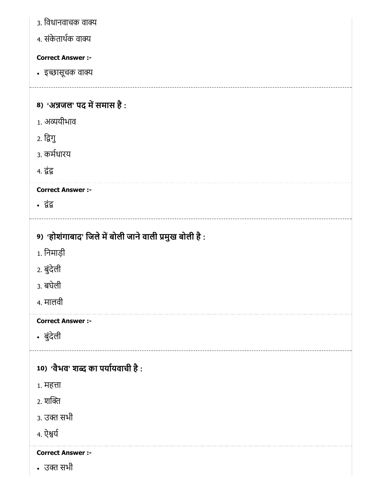| ३. विधानवाचक वाक्य                                     |
|--------------------------------------------------------|
| 4. संकेतार्थक वाक्य                                    |
| <b>Correct Answer :-</b>                               |
| • इच्छासूचक वाक्य                                      |
|                                                        |
| 8) 'अन्नजल' पद में समास है:                            |
| 1. अव्ययीभाव                                           |
| 2. द्विगु                                              |
| 3. कर्मधारय                                            |
| <b>4. द्वंद्व</b>                                      |
| <b>Correct Answer :-</b>                               |
| • द्वंद्व                                              |
| 9) 'होशंगाबाद' जिले में बोली जाने वाली प्रमुख बोली है: |
| 1. निमाड़ी                                             |
| 2. बुंदेली                                             |
| 3. बघेली                                               |
| 4. मालवी                                               |
|                                                        |
| <b>Correct Answer :-</b>                               |
| • बुंदेली                                              |
| 10) 'वैभव' शब्द का पर्यायवाची है:                      |
| 1. महत्ता                                              |
| 2. शक्ति                                               |
| 3. उक्त सभी                                            |
| 4. ऐश्वर्य                                             |
| <b>Correct Answer :-</b>                               |
|                                                        |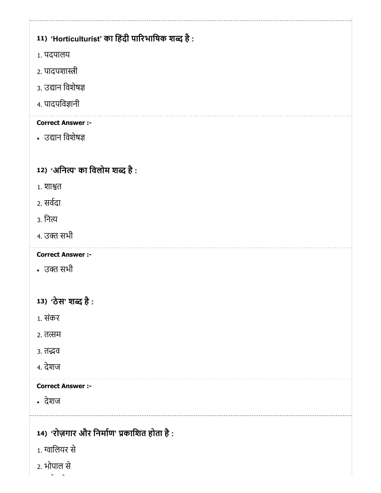# 11) 'Horticulturist' का हिंदी पारिभाषिक शब्द है : 12) 'अनित्य' का विलोम शब्द है : 13) 'ठेस' शब्द है : 14) 'रोज़गार और निर्माण' प्रकाशित होता है : 1. पदपालय 2. पादपशास्त्री 3. उद्यान विशेषज्ञ 4. पादपिवानी Correct Answer :- • उद्यान विशेषज्ञ 1. शाश्वत 2. सवदा 3. िन 4. उक्त सभी Correct Answer :- • उक्त सभी 1. संकर 2. तत्सम 3. तद्भव 4. देशज Correct Answer :- देशज 1. ािलयर से 2. भोपाल से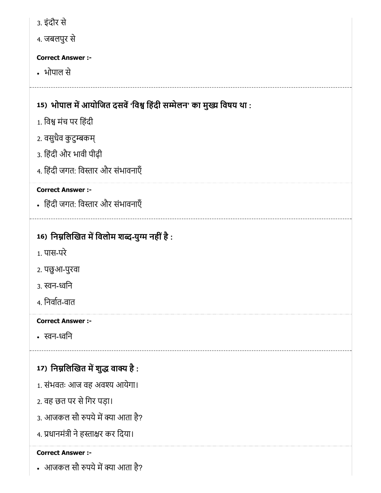| 3. इंदौर से                                                         |
|---------------------------------------------------------------------|
| 4. जबलपुर से                                                        |
| <b>Correct Answer :-</b>                                            |
| • भोपाल से                                                          |
|                                                                     |
| 15) भोपाल में आयोजित दसवें 'विश्व हिंदी सम्मेलन' का मुख्य विषय था : |
| 1. विश्व मंच पर हिंदी                                               |
| 2. वसुधैव कुटुम्बकम्                                                |
| 3. हिंदी और भावी पीढ़ी                                              |
| 4. हिंदी जगत: विस्तार और संभावनाएँ                                  |
| <b>Correct Answer :-</b>                                            |
| • हिंदी जगत: विस्तार और संभावनाएँ                                   |
|                                                                     |
| 16) निम्नलिखित में विलोम शब्द-युग्म नहीं है :                       |
| 1. पास-परे                                                          |
| २. पछुआ-पुरवा                                                       |
| ३. स्वन-ध्वनि                                                       |
| 4. निर्वात-वात                                                      |
| <b>Correct Answer :-</b>                                            |
| • स्वन-ध्वनि                                                        |
|                                                                     |
| 17) निम्नलिखित में शुद्ध वाक्य है :                                 |
| 1. संभवतः आज वह अवश्य आयेगा।                                        |
| 2. वह छत पर से गिर पड़ा।                                            |
| 3. आजकल सौ रुपये में क्या आता है?                                   |
| 4. प्रधानमंत्री ने हस्ताक्षर कर दिया।                               |
| <b>Correct Answer :-</b>                                            |
| • आजकल सौ रुपये में क्या आता है?                                    |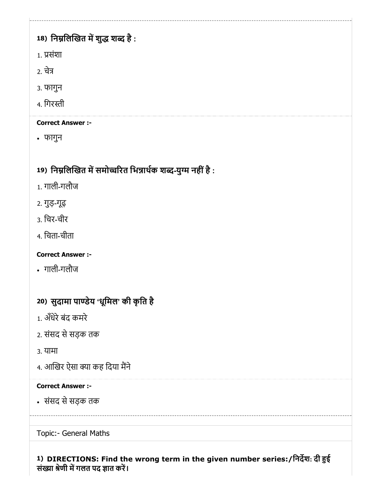# 18) निम्नलिखित में शुद्ध शब्द है :

- 1. संशा
- 2. चे
- 3. फागुन
- 4. गिरस्ती

### Correct Answer :-

फागुन

# 19) निम्नलिखित में समोच्चरित भिन्नार्थक शब्द-युग्म नहीं है :

- 1. गाली-गलौज
- 2. गुड़-गूढ़
- 3. िचर-चीर
- 4. िचता-चीता

# Correct Answer :-

गाली-गलौज

# 20) सुदामा पाण्डेय 'धूमिल' की कृति है

- 1. अँधेरेबंद कमरे
- 2. संसद से सड़क तक
- 3. यामा
- 4. आखिर ऐसा क्या कह दिया मैंने

### Correct Answer :-

संसद सेसड़क तक

### Topic:- General Maths

### 1) DIRECTIONS: Find the wrong term in the given number series:/िनदश: दी ई संख्या श्रेणी में गलत पद ज्ञात करें।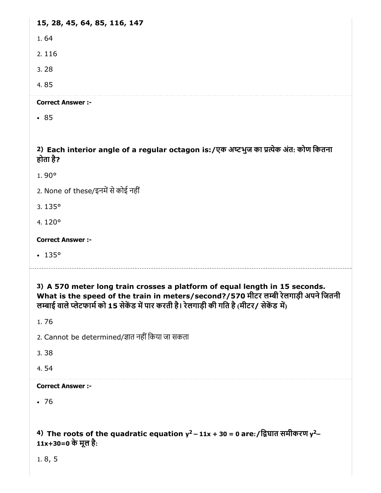15, 28, 45, 64, 85, 116, 147

1. 64

2. 116

3. 28

4. 85

Correct Answer :-

• 85

2) Each interior angle of a regular octagon is:/एक अटभुज का येक अंत: कोण िकतना होता है?

1. 90°

2. None of these/इनमें से कोई नहीं

3. 135°

4. 120°

Correct Answer :-

 $-135°$ 

3) A 570 meter long train crosses a platform of equal length in 15 seconds. What is the speed of the train in meters/second?/570 मीटर लम्बी रेलगाड़ी अपने जितनी लम्बाई वाले प्लेटफार्म को 15 सेकेंड में पार करती है। रेलगाड़ी की गति है (मीटर/ सेकेंड में)

1. 76

2. Cannot be determined/ज्ञात नहीं किया जा सकता

3. 38

4. 54

Correct Answer :-

 $.76$ 

 $4)$  The roots of the quadratic equation y $^{2}$  – 11x + 30 = 0 are:/द्विघात समीकरण y $^{2}$ – 11x+30=0 के मूल है:

1. 8, 5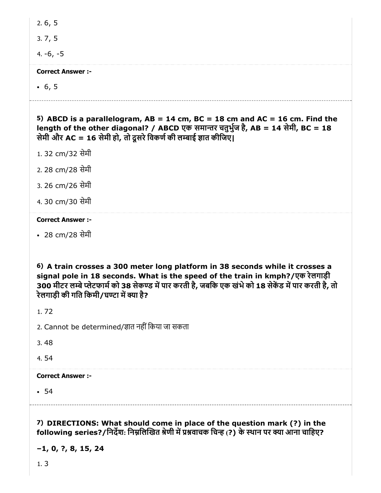3. 7, 5

4. -6, -5

#### Correct Answer :-

 $-6, 5$ 

5) ABCD is a parallelogram,  $AB = 14$  cm,  $BC = 18$  cm and  $AC = 16$  cm. Find the length of the other diagonal? / ABCD एक समातर चतुभुज है, AB = 14 सेमी, BC = 18 सेमी और AC = 16 सेमी हो, तो दसरे विकर्ण की लम्बाई ज्ञात कीजिए।

- 1. 32 cm/32 सेमी
- 2. 28 cm/28 सेमी
- 3. 26 cm/26 सेमी
- 4. 30 cm/30 सेमी

### Correct Answer :-

28 cm/28 सेमी

6) A train crosses a 300 meter long platform in 38 seconds while it crosses a signal pole in 18 seconds. What is the speed of the train in kmph?/एक रेलगाड़ी 300 मीटर लम्बे प्लेटफार्म को 38 सेकण्ड में पार करती है, जबकि एक खंभे को 18 सेकेंड में पार करती है, तो रेलगाड़ी की गति किमी/घण्टा में क्या है?

1. 72

- 2. Cannot be determined/ज्ञात नहीं किया जा सकता
- 3. 48
- 4. 54

### Correct Answer :-

 $-54$ 

7) DIRECTIONS: What should come in place of the question mark (?) in the following series?/निर्देश: निम्नलिखित श्रेणी में प्रश्नवाचक चिन्ह (?) के स्थान पर क्या आना चाहिए?

–1, 0, ?, 8, 15, 24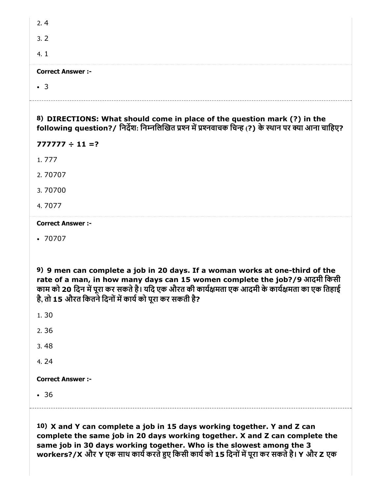| 2.4                                                                                                                                                                                                                                                                                                                      |
|--------------------------------------------------------------------------------------------------------------------------------------------------------------------------------------------------------------------------------------------------------------------------------------------------------------------------|
| 3.2                                                                                                                                                                                                                                                                                                                      |
| 4.1                                                                                                                                                                                                                                                                                                                      |
| <b>Correct Answer :-</b>                                                                                                                                                                                                                                                                                                 |
| $\cdot$ 3                                                                                                                                                                                                                                                                                                                |
| 8) DIRECTIONS: What should come in place of the question mark (?) in the<br>following question?/ निर्देश: निम्नलिखित प्रश्न में प्रश्नवाचक चिन्ह (?) के स्थान पर क्या आना चाहिए?                                                                                                                                         |
| $777777 \div 11 = ?$                                                                                                                                                                                                                                                                                                     |
| 1.777                                                                                                                                                                                                                                                                                                                    |
| 2.70707                                                                                                                                                                                                                                                                                                                  |
| 3.70700                                                                                                                                                                                                                                                                                                                  |
| 4.7077                                                                                                                                                                                                                                                                                                                   |
|                                                                                                                                                                                                                                                                                                                          |
| <b>Correct Answer :-</b>                                                                                                                                                                                                                                                                                                 |
| $\cdot 70707$                                                                                                                                                                                                                                                                                                            |
| 9) 9 men can complete a job in 20 days. If a woman works at one-third of the<br>rate of a man, in how many days can 15 women complete the job?/9 आदमी किसी<br>काम को 20 दिन में पूरा कर सकते है। यदि एक औरत की कार्यक्षमता एक आदमी के कार्यक्षमता का एक तिहाई<br>है, तो 15 औरत कितने दिनों में कार्य को पूरा कर सकती है? |
| 1.30                                                                                                                                                                                                                                                                                                                     |
| 2.36                                                                                                                                                                                                                                                                                                                     |
| 3.48                                                                                                                                                                                                                                                                                                                     |
| 4.24                                                                                                                                                                                                                                                                                                                     |
| <b>Correct Answer :-</b>                                                                                                                                                                                                                                                                                                 |
| • 36                                                                                                                                                                                                                                                                                                                     |

10) X and Y can complete a job in 15 days working together. Y and Z can complete the same job in 20 days working together. X and Z can complete the same job in 30 days working together. Who is the slowest among the 3 workers?/X और Y एक साथ कार्य करते हुए किसी कार्य को 15 दिनों में पूरा कर सकते है। Y और Z एक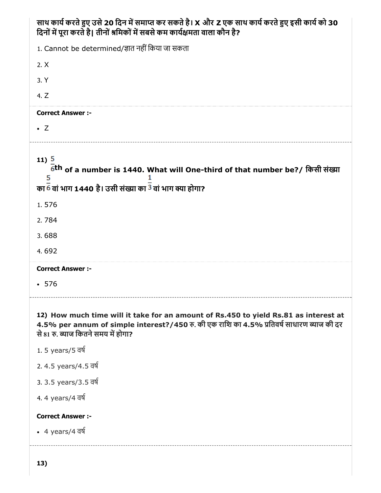| साथ कार्य करते हुए उसे 20 दिन में समाप्त कर सकते है। X और Z एक साथ कार्य करते हुए इसी कार्य को 30<br>दिनों में पूरा करते है। तीनों श्रमिकों में सबसे कम कार्यक्षमता वाला कौन है?                                          |
|---------------------------------------------------------------------------------------------------------------------------------------------------------------------------------------------------------------------------|
| 1. Cannot be determined/ज्ञात नहीं किया जा सकता                                                                                                                                                                           |
| 2. X                                                                                                                                                                                                                      |
| 3. Y                                                                                                                                                                                                                      |
| 4. Z                                                                                                                                                                                                                      |
| <b>Correct Answer :-</b>                                                                                                                                                                                                  |
| $\bullet$ Z                                                                                                                                                                                                               |
| 11)5<br>6 <sup>th</sup> of a number is 1440. What will One-third of that number be?/ किसी संख्या<br>5<br>का 6 वां भाग 1440 है। उसी संख्या का <sup>3</sup> वां भाग क्या होगा?                                              |
| 1.576                                                                                                                                                                                                                     |
| 2.784                                                                                                                                                                                                                     |
| 3.688                                                                                                                                                                                                                     |
| 4.692                                                                                                                                                                                                                     |
| <b>Correct Answer :-</b>                                                                                                                                                                                                  |
| $-576$                                                                                                                                                                                                                    |
| 12) How much time will it take for an amount of Rs.450 to yield Rs.81 as interest at<br>4.5% per annum of simple interest?/450 रु. की एक राशि का 4.5% प्रतिवर्ष साधारण ब्याज की दर<br>से 81 रु. ब्याज कितने समय में होगा? |
| 1.5 years/5 वर्ष                                                                                                                                                                                                          |
| 2.4.5 years/4.5 वर्ष                                                                                                                                                                                                      |
| 3.3.5 years/3.5 वर्ष                                                                                                                                                                                                      |
| 4.4 years/4 वर्ष                                                                                                                                                                                                          |
| <b>Correct Answer :-</b>                                                                                                                                                                                                  |
| • 4 years/4 $\overline{q}$                                                                                                                                                                                                |
|                                                                                                                                                                                                                           |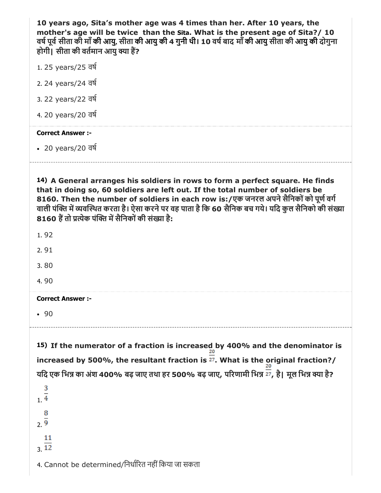10 years ago, Sita's mother age was 4 times than her. After 10 years, the mother's age will be twice than the Sita. What is the present age of Sita?/ 10 वर्ष पूर्व सीता की माँ की आयु, सीता की आयु की 4 गुनी थी। 10 वर्ष बाद माँ की आयु सीता की आयु की दोगुना होगी। सीता की वर्तमान आयु क्या हैं?

- 1. 25 years/25 वष
- 2. 24 years/24 वष
- 3. 22 years/22 वष
- 4. 20 years/20 वष

#### Correct Answer :-

- 20 years/20 वष
- 

14) A General arranges his soldiers in rows to form a perfect square. He finds that in doing so, 60 soldiers are left out. If the total number of soldiers be 8160. Then the number of soldiers in each row is:/एक जनरल अपने सैनिकों को पूर्ण वर्ग वाली पंक्ति में व्यवस्थित करता है। ऐसा करने पर वह पाता है कि 60 सैनिक बच गये। यदि कुल सैनिको की संख्या 8160 हैं तो प्रत्येक पंक्ति में सैनिकों की संख्या है:

1. 92

2. 91

3. 80

4. 90

#### Correct Answer :-

 $.90$ 

15) If the numerator of a fraction is increased by 400% and the denominator is increased by 500%, the resultant fraction is  $\overline{p}$ . What is the original fraction?/ यदि एक भिन्न का अंश 400% बढ़ जाए तथा हर 500% बढ़ जाए, परिणामी भिन्न  $\overline{\overline{27}}$ , है। मूल भिन्न क्या है?

3 1. 8  $2\overline{9}$ 11  $\overline{12}$ 

4. Cannot be determined/निर्धारित नहीं किया जा सकता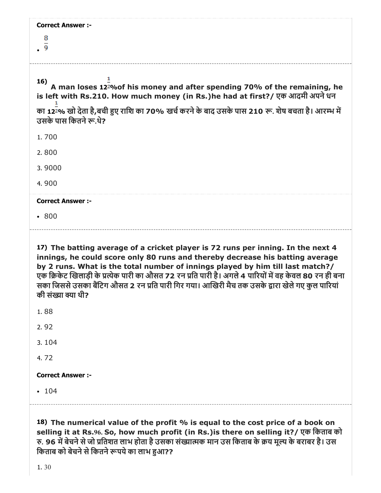| <b>Correct Answer :-</b><br>8                                                                                                                                                                                                                       |
|-----------------------------------------------------------------------------------------------------------------------------------------------------------------------------------------------------------------------------------------------------|
| 16)<br>A man loses 12 <sup>2</sup> % of his money and after spending 70% of the remaining, he<br>is left with Rs.210. How much money (in Rs.)he had at first?/ एक आदमी अपने धन                                                                      |
| का 122% खो देता है,बची हुए राशि का 70% खर्च करने के बाद उसके पास 210 रू. शेष बचता है। आरम्भ में<br>उसके पास कितने रू.थे?                                                                                                                            |
| 1.700                                                                                                                                                                                                                                               |
| 2.800                                                                                                                                                                                                                                               |
| 3.9000                                                                                                                                                                                                                                              |
| 4.900                                                                                                                                                                                                                                               |
| <b>Correct Answer :-</b>                                                                                                                                                                                                                            |
| .800                                                                                                                                                                                                                                                |
| 17) The batting average of a cricket player is 72 runs per inning. In the next 4<br>innings, he could score only 80 runs and thereby decrease his batting average<br>by 2 runs. What is the total number of innings played by him till last match?/ |

एक क्रिकेट खिलाड़ी के प्रत्येक पारी का औसत 72 रन प्रति पारी है। अगले 4 पारियों में वह केवल 80 रन ही बना सका जिससे उसका बैंटिग औसत 2 रन प्रति पारी गिर गया। आखिरी मैच तक उसके द्वारा खेले गए कुल पारियां

3. 104 4. 72 Correct Answer :-

 $• 104$ 

1. 88

2. 92

की संख्या क्या थी?

18) The numerical value of the profit % is equal to the cost price of a book on selling it at Rs.96. So, how much profit (in Rs.)is there on selling it?/ एक िकताब को रु. 96 में बेचने से जो प्रतिशत लाभ होता है उसका संख्यात्मक मान उस किताब के क्रय मूल्य के बराबर है। उस किताब को बेचने से कितने रूपये का लाभ हुआ??